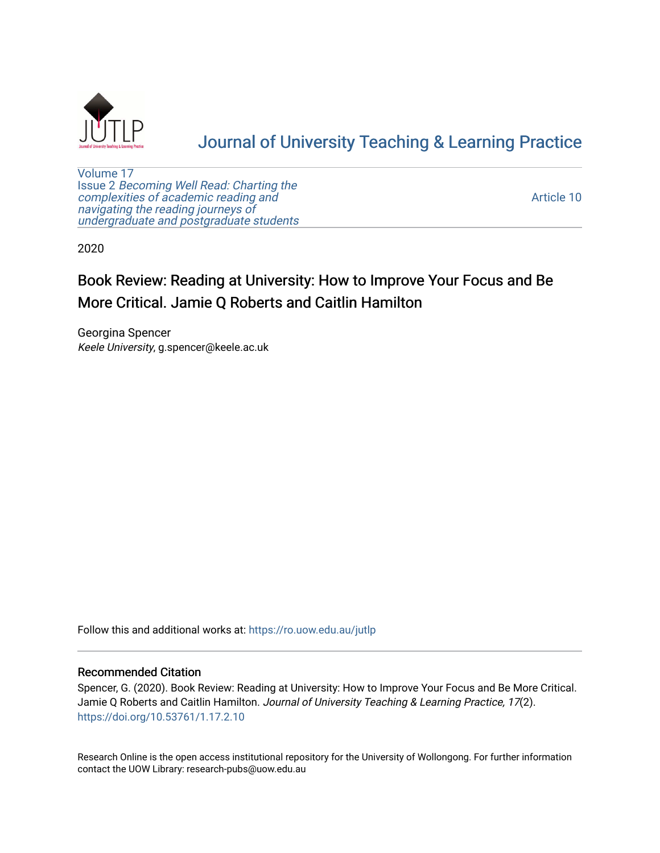

# [Journal of University Teaching & Learning Practice](https://ro.uow.edu.au/jutlp)

[Volume 17](https://ro.uow.edu.au/jutlp/vol17) Issue 2 [Becoming Well Read: Charting the](https://ro.uow.edu.au/jutlp/vol17/iss2) [complexities of academic reading and](https://ro.uow.edu.au/jutlp/vol17/iss2)  [navigating the reading journeys of](https://ro.uow.edu.au/jutlp/vol17/iss2) [undergraduate and postgraduate students](https://ro.uow.edu.au/jutlp/vol17/iss2)

[Article 10](https://ro.uow.edu.au/jutlp/vol17/iss2/10) 

2020

## Book Review: Reading at University: How to Improve Your Focus and Be More Critical. Jamie Q Roberts and Caitlin Hamilton

Georgina Spencer Keele University, g.spencer@keele.ac.uk

Follow this and additional works at: [https://ro.uow.edu.au/jutlp](https://ro.uow.edu.au/jutlp?utm_source=ro.uow.edu.au%2Fjutlp%2Fvol17%2Fiss2%2F10&utm_medium=PDF&utm_campaign=PDFCoverPages) 

### Recommended Citation

Spencer, G. (2020). Book Review: Reading at University: How to Improve Your Focus and Be More Critical. Jamie Q Roberts and Caitlin Hamilton. Journal of University Teaching & Learning Practice, 17(2). <https://doi.org/10.53761/1.17.2.10>

Research Online is the open access institutional repository for the University of Wollongong. For further information contact the UOW Library: research-pubs@uow.edu.au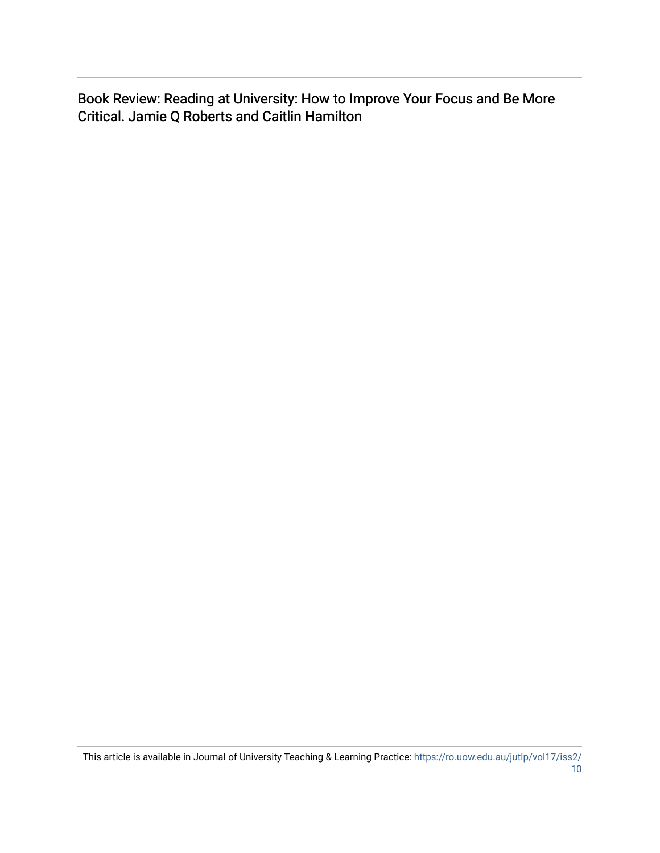Book Review: Reading at University: How to Improve Your Focus and Be More Critical. Jamie Q Roberts and Caitlin Hamilton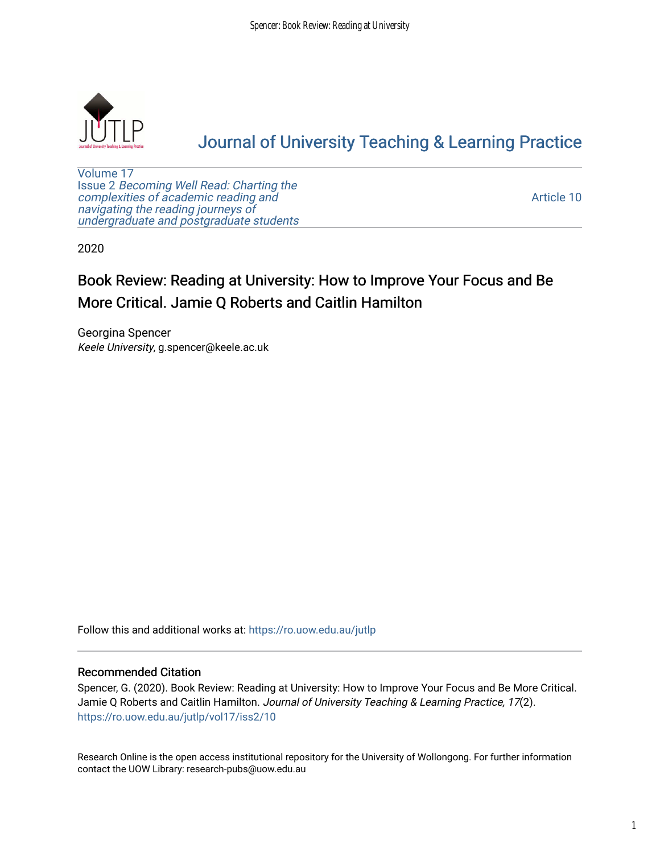

## [Journal of University Teaching & Learning Practice](https://ro.uow.edu.au/jutlp)

[Volume 17](https://ro.uow.edu.au/jutlp/vol17) Issue 2 [Becoming Well Read: Charting the](https://ro.uow.edu.au/jutlp/vol17/iss2) [complexities of academic reading and](https://ro.uow.edu.au/jutlp/vol17/iss2)  [navigating the reading journeys of](https://ro.uow.edu.au/jutlp/vol17/iss2) [undergraduate and postgraduate students](https://ro.uow.edu.au/jutlp/vol17/iss2)

[Article 10](https://ro.uow.edu.au/jutlp/vol17/iss2/10) 

2020

## Book Review: Reading at University: How to Improve Your Focus and Be More Critical. Jamie Q Roberts and Caitlin Hamilton

Georgina Spencer Keele University, g.spencer@keele.ac.uk

Follow this and additional works at: [https://ro.uow.edu.au/jutlp](https://ro.uow.edu.au/jutlp?utm_source=ro.uow.edu.au%2Fjutlp%2Fvol17%2Fiss2%2F10&utm_medium=PDF&utm_campaign=PDFCoverPages) 

### Recommended Citation

Spencer, G. (2020). Book Review: Reading at University: How to Improve Your Focus and Be More Critical. Jamie Q Roberts and Caitlin Hamilton. Journal of University Teaching & Learning Practice, 17(2). [https://ro.uow.edu.au/jutlp/vol17/iss2/10](https://ro.uow.edu.au/jutlp/vol17/iss2/10?utm_source=ro.uow.edu.au%2Fjutlp%2Fvol17%2Fiss2%2F10&utm_medium=PDF&utm_campaign=PDFCoverPages)

Research Online is the open access institutional repository for the University of Wollongong. For further information contact the UOW Library: research-pubs@uow.edu.au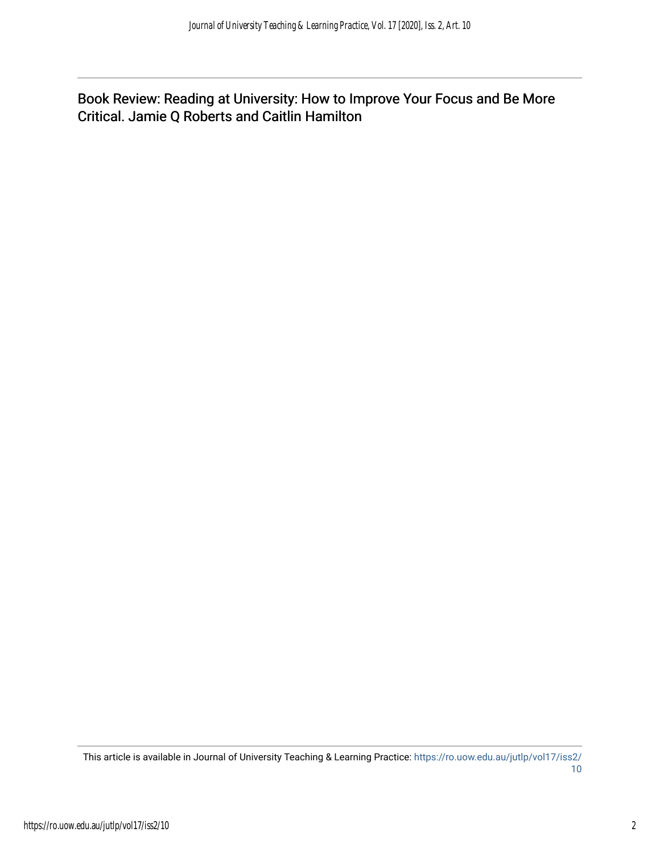Book Review: Reading at University: How to Improve Your Focus and Be More Critical. Jamie Q Roberts and Caitlin Hamilton

This article is available in Journal of University Teaching & Learning Practice: [https://ro.uow.edu.au/jutlp/vol17/iss2/](https://ro.uow.edu.au/jutlp/vol17/iss2/10) [10](https://ro.uow.edu.au/jutlp/vol17/iss2/10)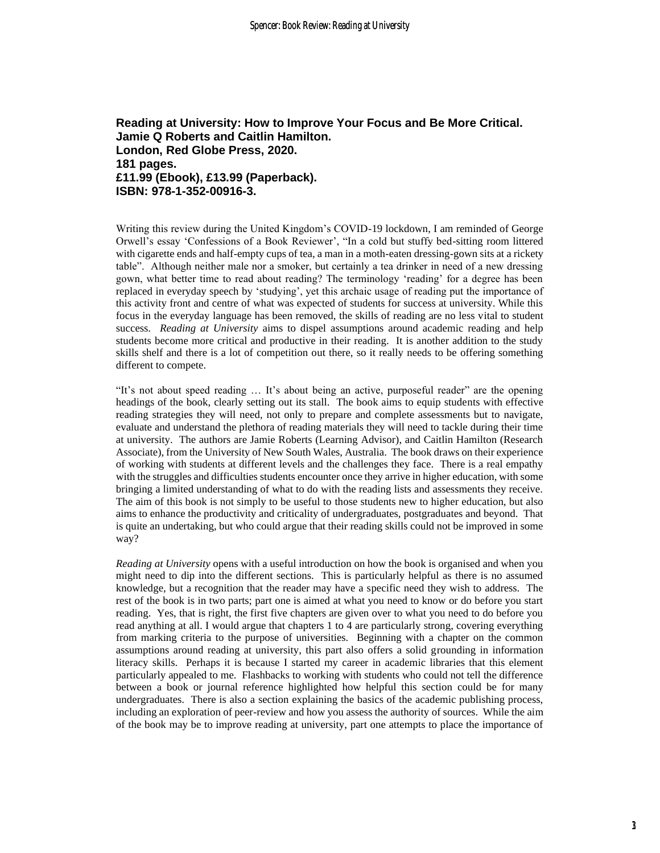### **Reading at University: How to Improve Your Focus and Be More Critical. Jamie Q Roberts and Caitlin Hamilton. London, Red Globe Press, 2020. 181 pages. £11.99 (Ebook), £13.99 (Paperback). ISBN: 978-1-352-00916-3.**

Writing this review during the United Kingdom's COVID-19 lockdown, I am reminded of George Orwell's essay 'Confessions of a Book Reviewer', "In a cold but stuffy bed-sitting room littered with cigarette ends and half-empty cups of tea, a man in a moth-eaten dressing-gown sits at a rickety table". Although neither male nor a smoker, but certainly a tea drinker in need of a new dressing gown, what better time to read about reading? The terminology 'reading' for a degree has been replaced in everyday speech by 'studying', yet this archaic usage of reading put the importance of this activity front and centre of what was expected of students for success at university. While this focus in the everyday language has been removed, the skills of reading are no less vital to student success. *Reading at University* aims to dispel assumptions around academic reading and help students become more critical and productive in their reading. It is another addition to the study skills shelf and there is a lot of competition out there, so it really needs to be offering something different to compete.

"It's not about speed reading … It's about being an active, purposeful reader" are the opening headings of the book, clearly setting out its stall. The book aims to equip students with effective reading strategies they will need, not only to prepare and complete assessments but to navigate, evaluate and understand the plethora of reading materials they will need to tackle during their time at university. The authors are Jamie Roberts (Learning Advisor), and Caitlin Hamilton (Research Associate), from the University of New South Wales, Australia. The book draws on their experience of working with students at different levels and the challenges they face. There is a real empathy with the struggles and difficulties students encounter once they arrive in higher education, with some bringing a limited understanding of what to do with the reading lists and assessments they receive. The aim of this book is not simply to be useful to those students new to higher education, but also aims to enhance the productivity and criticality of undergraduates, postgraduates and beyond. That is quite an undertaking, but who could argue that their reading skills could not be improved in some way?

*Reading at University* opens with a useful introduction on how the book is organised and when you might need to dip into the different sections. This is particularly helpful as there is no assumed knowledge, but a recognition that the reader may have a specific need they wish to address. The rest of the book is in two parts; part one is aimed at what you need to know or do before you start reading. Yes, that is right, the first five chapters are given over to what you need to do before you read anything at all. I would argue that chapters 1 to 4 are particularly strong, covering everything from marking criteria to the purpose of universities. Beginning with a chapter on the common assumptions around reading at university, this part also offers a solid grounding in information literacy skills. Perhaps it is because I started my career in academic libraries that this element particularly appealed to me. Flashbacks to working with students who could not tell the difference between a book or journal reference highlighted how helpful this section could be for many undergraduates. There is also a section explaining the basics of the academic publishing process, including an exploration of peer-review and how you assess the authority of sources. While the aim of the book may be to improve reading at university, part one attempts to place the importance of